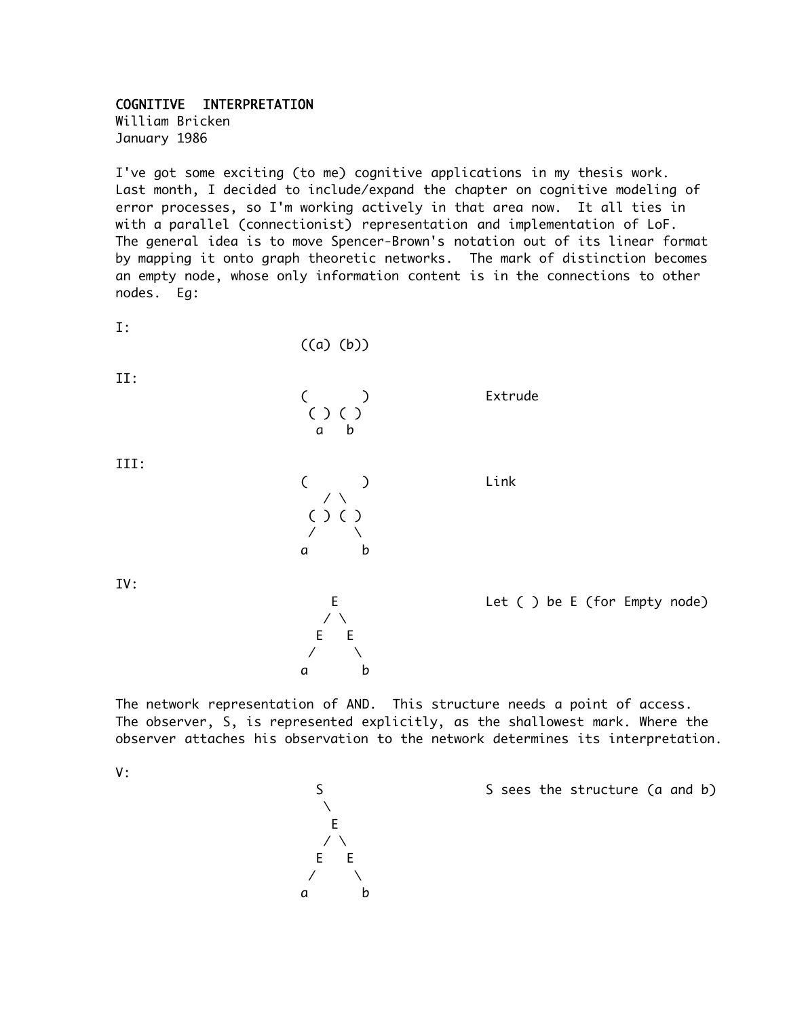## COGNITIVE INTERPRETATION

William Bricken January 1986

I've got some exciting (to me) cognitive applications in my thesis work. Last month, I decided to include/expand the chapter on cognitive modeling of error processes, so I'm working actively in that area now. It all ties in with a parallel (connectionist) representation and implementation of LoF. The general idea is to move Spencer-Brown's notation out of its linear format by mapping it onto graph theoretic networks. The mark of distinction becomes an empty node, whose only information content is in the connections to other nodes. Eg:

( ) Extrude

( ) Link

I:

((a) (b))

 ( ) ( ) a b

II:

III:

| ŗ. | ) | ί |   |
|----|---|---|---|
|    |   |   |   |
| а  |   |   | b |

 $\angle$  \ E E  $\sqrt{2}$ a b

IV:

E Let ( ) be E (for Empty node)

The network representation of AND. This structure needs a point of access. The observer, S, is represented explicitly, as the shallowest mark. Where the observer attaches his observation to the network determines its interpretation.

V:



S Sees the structure (a and b)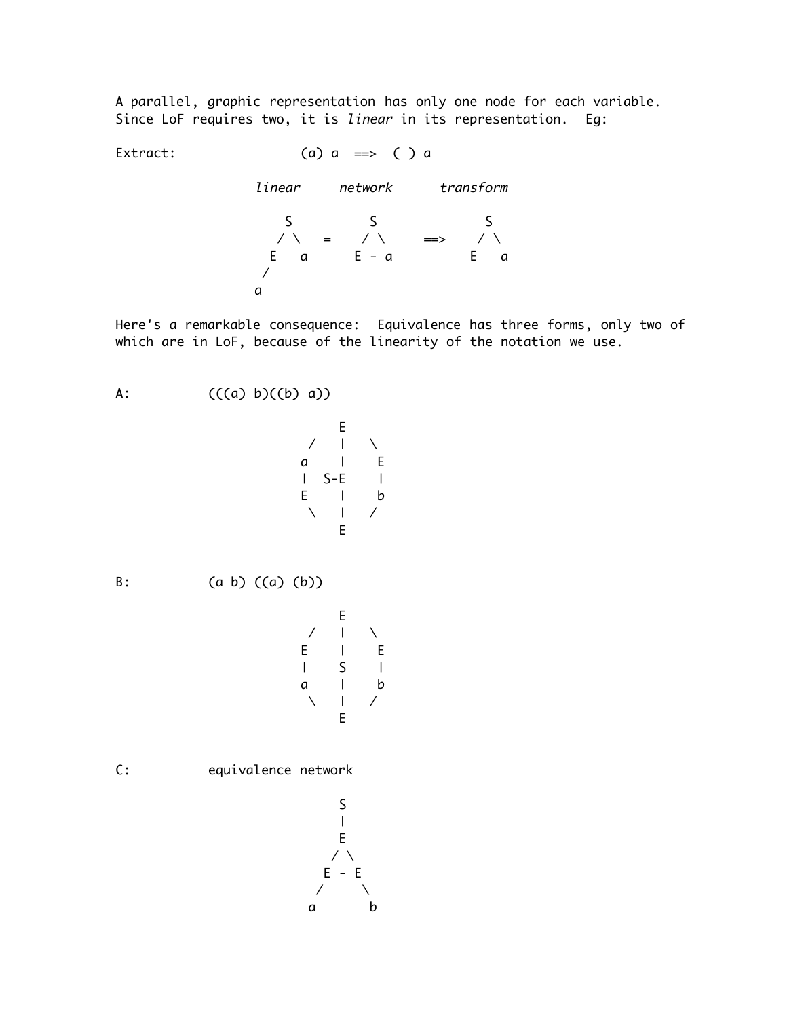A parallel, graphic representation has only one node for each variable. Since LoF requires two, it is linear in its representation. Eq:

Extract:  $(a) a \implies ( ) a$ linear network transform

> S S S / \ = / \ ==> / \ E a E - a E a / a

Here's a remarkable consequence: Equivalence has three forms, only two of which are in LoF, because of the linearity of the notation we use.

A:  $(((a) b)((b) a))$  E  $/$  |  $\lambda$ a | E  $|$  S-E  $|$ E | b  $\setminus$  | / E B:  $(a \ b) ((a) (b))$  E  $/$  |  $\lambda$ E | E | S | a | b  $\setminus$  | / E C: equivalence network  $\mathsf{C}$ 

$$
\begin{array}{c}\n 3 \\
-1 \\
E \\
\hline\n 6\n \end{array}
$$
\n
$$
\begin{array}{c}\n E - E \\
\hline\n 7\n \end{array}
$$
\n
$$
\begin{array}{c}\n 2 \\
2 \\
4\n \end{array}
$$